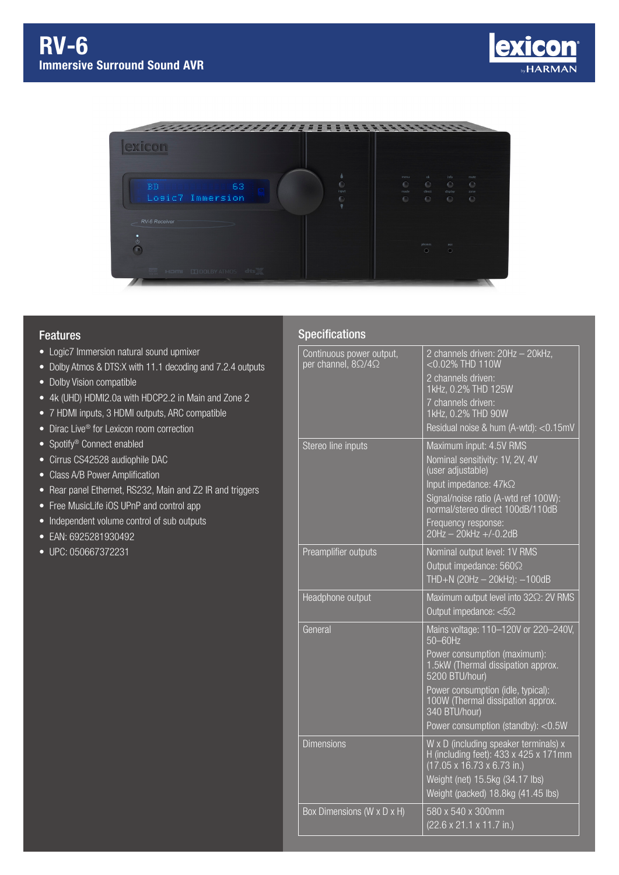



## Features

- Logic7 Immersion natural sound upmixer
- Dolby Atmos & DTS:X with 11.1 decoding and 7.2.4 outputs
- Dolby Vision compatible
- 4k (UHD) HDMI2.0a with HDCP2.2 in Main and Zone 2
- 7 HDMI inputs, 3 HDMI outputs, ARC compatible
- Dirac Live<sup>®</sup> for Lexicon room correction
- Spotify<sup>®</sup> Connect enabled
- Cirrus CS42528 audiophile DAC
- Class A/B Power Amplification
- Rear panel Ethernet, RS232, Main and Z2 IR and triggers
- Free MusicLife iOS UPnP and control app
- Independent volume control of sub outputs
- EAN: 6925281930492
- UPC: 050667372231

## Specifications

| Continuous power output,       | 2 channels driven: 20Hz - 20kHz,                                                                                                 |
|--------------------------------|----------------------------------------------------------------------------------------------------------------------------------|
| per channel, $8\Omega/4\Omega$ | <0.02% THD 110W                                                                                                                  |
|                                | 2 channels driven:<br>1kHz, 0.2% THD 125W                                                                                        |
|                                | 7 channels driven:<br>1kHz, 0.2% THD 90W                                                                                         |
|                                | Residual noise & hum (A-wtd): <0.15mV                                                                                            |
| Stereo line inputs             | Maximum input: 4.5V RMS                                                                                                          |
|                                | Nominal sensitivity: 1V, 2V, 4V                                                                                                  |
|                                | (user adjustable)                                                                                                                |
|                                | Input impedance: 47kΩ<br>Signal/noise ratio (A-wtd ref 100W):                                                                    |
|                                | normal/stereo direct 100dB/110dB                                                                                                 |
|                                | Frequency response:                                                                                                              |
|                                | $20Hz - 20kHz + (-0.2dB)$                                                                                                        |
| Preamplifier outputs           | Nominal output level: 1V RMS<br>Output impedance: 560 $\Omega$                                                                   |
|                                | THD+N (20Hz - 20kHz): -100dB                                                                                                     |
| Headphone output               | Maximum output level into 322: 2V RMS                                                                                            |
|                                | Output impedance: $\overline{5\Omega}$                                                                                           |
| General                        | Mains voltage: 110-120V or 220-240V,<br>50-60Hz                                                                                  |
|                                | Power consumption (maximum):<br>1.5kW (Thermal dissipation approx.<br>5200 BTU/hour)                                             |
|                                | Power consumption (idle, typical):<br>100W (Thermal dissipation approx.<br>340 BTU/hour)                                         |
|                                | Power consumption (standby): <0.5W                                                                                               |
| <b>Dimensions</b>              | W x D (including speaker terminals) x<br>H (including feet): 433 x 425 x 171mm<br>$(17.05 \times 16.73 \times 6.73 \text{ in.})$ |
|                                | Weight (net) 15.5kg (34.17 lbs)<br>Weight (packed) 18.8kg (41.45 lbs)                                                            |
| Box Dimensions (W x D x H)     | 580 x 540 x 300mm<br>(22.6 x 21.1 x 11.7 in.)                                                                                    |